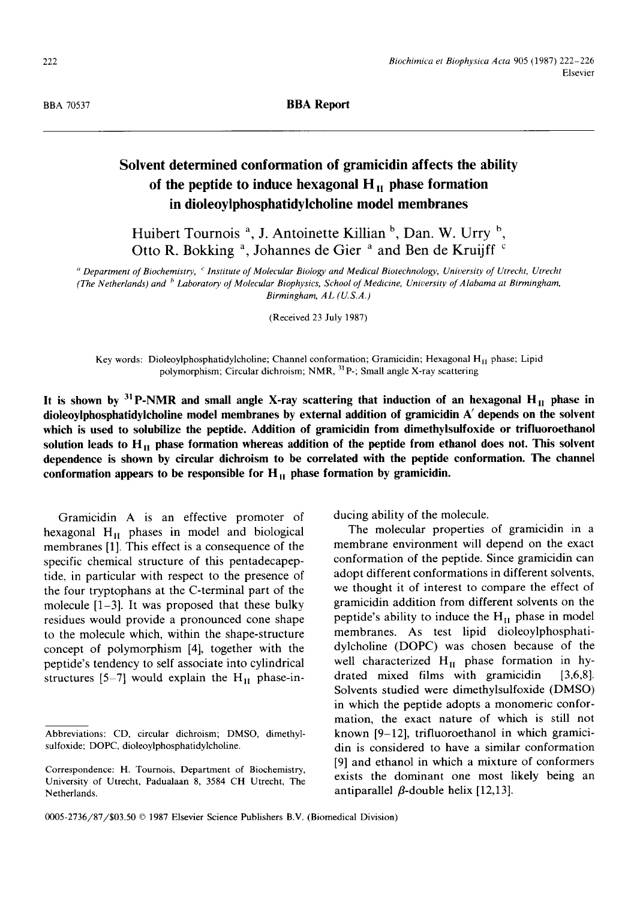BBA70537 **BBA Report** 

## **Solvent determined conformation of gramicidin affects the ability**  of the peptide to induce hexagonal  $H<sub>II</sub>$  phase formation **in dioleoylphosphatidylcholine model membranes**

Huibert Tournois<sup>a</sup>, J. Antoinette Killian<sup>b</sup>, Dan. W. Urry <sup>b</sup>, Otto R. Bokking <sup>a</sup>, Johannes de Gier <sup>a</sup> and Ben de Kruijff <sup>c</sup>

*a Department of Biochemistry, ¢ Institute of Molecular Biology and Medical Biotechnology, University of Utrecht, Utrecht (The Netherlands) and b Laboratory of Molecular Biophysics, School of Medicine, University of Alabama at Birmingham, Birmingham, AL (U.S.A.)* 

(Received 23 July 1987)

Key words: Dioleoylphosphatidylcholine; Channel conformation; Gramicidin; Hexagonal  $H<sub>H</sub>$  phase; Lipid polymorphism; Circular dichroism; NMR, <sup>31</sup>P-; Small angle X-ray scattering

It is shown by  $31$  P-NMR and small angle X-ray scattering that induction of an hexagonal H<sub>II</sub> phase in **dioleoylphosphatidylcholine model membranes by external addition of gramicidin A' depends on the solvent which is used to solubilize the** peptide. Addition **of gramicidin from dimethylsulfoxide or trifluoroethanol**  solution leads to H<sub>II</sub> phase formation whereas addition of the peptide from ethanol does not. This solvent **dependence is shown by circular dichroism to be correlated with the peptide conformation. The channel**  conformation appears to be responsible for  $H<sub>H</sub>$  phase formation by gramicidin.

Gramicidin A is an effective promoter of hexagonal  $H_{II}$  phases in model and biological membranes [1]. This effect is a consequence of the specific chemical structure of this pentadecapeptide, in particular with respect to the presence of the four tryptophans at the C-terminal part of the molecule  $[1-3]$ . It was proposed that these bulky residues would provide a pronounced cone shape to the molecule which, within the shape-structure concept of polymorphism [4], together with the peptide's tendency to self associate into cylindrical structures [5-7] would explain the  $H<sub>II</sub>$  phase-inducing ability of the molecule.

The molecular properties of gramicidin in a membrane environment will depend on the exact conformation of the peptide. Since gramicidin can adopt different conformations in different solvents, we thought it of interest to compare the effect of gramicidin addition from different solvents on the peptide's ability to induce the  $H<sub>H</sub>$  phase in model membranes. As test lipid dioleoylphosphatidylcholine (DOPC) was chosen because of the well characterized  $H<sub>H</sub>$  phase formation in hydrated mixed films with gramicidin [3,6,8]. Solvents studied were dimethylsulfoxide (DMSO) in which the peptide adopts a monomeric conformation, the exact nature of which is still not known [9-12], trifluoroethanol in which gramicidin is considered to have a similar conformation [9] and ethanol in which a mixture of conformers exists the dominant one most likely being an antiparallel  $\beta$ -double helix [12,13].

Abbreviations: CD, circular dichroism; DMSO, dimethylsulfoxide; DOPC, dioleoylphosphatidylcholine.

Correspondence: H. Tournois, Department of Biochemistry, University of Utrecht, Padualaan 8, 3584 CH Utrecht, The Netherlands.

<sup>0005-2736/87/\$03.50 © 1987</sup> Elsevier Science Publishers B.V. (Biomedical Division)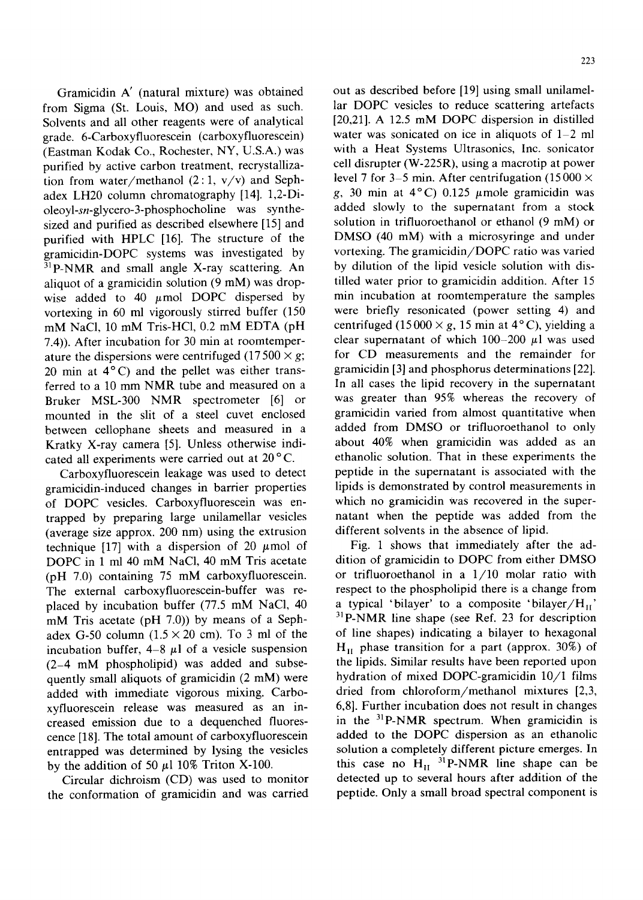Gramicidin A' (natural mixture) was obtained from Sigma (St. Louis, MO) and used as such. Solvents and all other reagents were of analytical grade. 6-Carboxyfluorescein (carboxyfluorescein) (Eastman Kodak Co., Rochester, NY, U.S.A.) was purified by active carbon treatment, recrystallization from water/methanol  $(2:1, v/v)$  and Sephadex LH20 column chromatography [14]. 1,2-Dioleoyl-sn-glycero-3-phosphocholine was synthesized and purified as described elsewhere [15] and purified with HPLC [16]. The structure of the gramicidin-DOPC systems was investigated by  $31$ P-NMR and small angle X-ray scattering. An aliquot of a gramicidin solution (9 mM) was dropwise added to 40  $\mu$ mol DOPC dispersed by vortexing in 60 ml vigorously stirred buffer (150 mM NaC1, 10 mM Tris-HC1, 0.2 mM EDTA (pH 7.4)). After incubation for 30 min at roomtemperature the dispersions were centrifuged (17500  $\times g$ ; 20 min at  $4^{\circ}$ C) and the pellet was either transferred to a 10 mm NMR tube and measured on a Bruker MSL-300 NMR spectrometer [6] or mounted in the slit of a steel cuvet enclosed between cellophane sheets and measured in a Kratky X-ray camera [5]. Unless otherwise indicated all experiments were carried out at 20°C.

Carboxyfluorescein leakage was used to detect gramicidin-induced changes in barrier properties of DOPC vesicles. Carboxyfluorescein was entrapped by preparing large unilamellar vesicles (average size approx. 200 nm) using the extrusion technique [17] with a dispersion of 20  $\mu$ mol of DOPC in 1 ml 40 mM NaC1, 40 mM Tris acetate (pH 7.0) containing 75 mM carboxyfluorescein. The external carboxyfluorescein-buffer was replaced by incubation buffer (77.5 mM NaC1, 40 mM Tris acetate (pH 7.0)) by means of a Sephadex G-50 column  $(1.5 \times 20 \text{ cm})$ . To 3 ml of the incubation buffer,  $4-8$   $\mu$ l of a vesicle suspension (2-4 mM phospholipid) was added and subsequently small aliquots of gramicidin (2 mM) were added with immediate vigorous mixing. Carboxyfluorescein release was measured as an increased emission due to a dequenched fluorescence [18]. The total amount of carboxyfluorescein entrapped was determined by lysing the vesicles by the addition of 50  $\mu$ 1 10% Triton X-100.

Circular dichroism (CD) was used to monitor the conformation of gramicidin and was carried out as described before [19] using small unilamellar DOPC vesicles to reduce scattering artefacts [20,21]. A 12.5 mM DOPC dispersion in distilled water was sonicated on ice in aliquots of  $1-2$  ml with a Heat Systems Ultrasonics, Inc. sonicator cell disrupter (W-225R), using a macrotip at power level 7 for 3–5 min. After centrifugation (15 000  $\times$ g, 30 min at  $4^{\circ}$ C) 0.125  $\mu$ mole gramicidin was added slowly to the supernatant from a stock solution in trifluoroethanol or ethanol (9 mM) or DMSO (40 mM) with a microsyringe and under vortexing. The gramicidin/DOPC ratio was varied by dilution of the lipid vesicle solution with distilled water prior to gramicidin addition. After 15 min incubation at roomtemperature the samples were briefly resonicated (power setting 4) and centrifuged (15000  $\times$  g, 15 min at 4°C), yielding a clear supernatant of which  $100-200$   $\mu$ l was used for CD measurements and the remainder for gramicidin [3] and phosphorus determinations [22]. In all cases the lipid recovery in the supernatant was greater than 95% whereas the recovery of gramicidin varied from almost quantitative when added from DMSO or trifluoroethanol to only about 40% when gramicidin was added as an ethanolic solution. That in these experiments the peptide in the supernatant is associated with the lipids is demonstrated by control measurements in which no gramicidin was recovered in the supernatant when the peptide was added from the different solvents in the absence of lipid.

Fig. 1 shows that immediately after the addition of gramicidin to DOPC from either DMSO or trifluoroethanol in a 1/10 molar ratio with respect to the phospholipid there is a change from a typical 'bilayer' to a composite 'bilayer/ $H_{II}$ ' 31p-NMR line shape (see Ref. 23 for description of line shapes) indicating a bilayer to hexagonal  $H<sub>H</sub>$  phase transition for a part (approx. 30%) of the lipids. Similar results have been reported upon hydration of mixed DOPC-gramicidin 10/1 films dried from chloroform/methanol mixtures [2,3, 6,8]. Further incubation does not result in changes in the  $31P-NMR$  spectrum. When gramicidin is added to the DOPC dispersion as an ethanolic solution a completely different picture emerges. In this case no  $H_{II}$  <sup>31</sup>P-NMR line shape can be detected up to several hours after addition of the peptide. Only a small broad spectral component is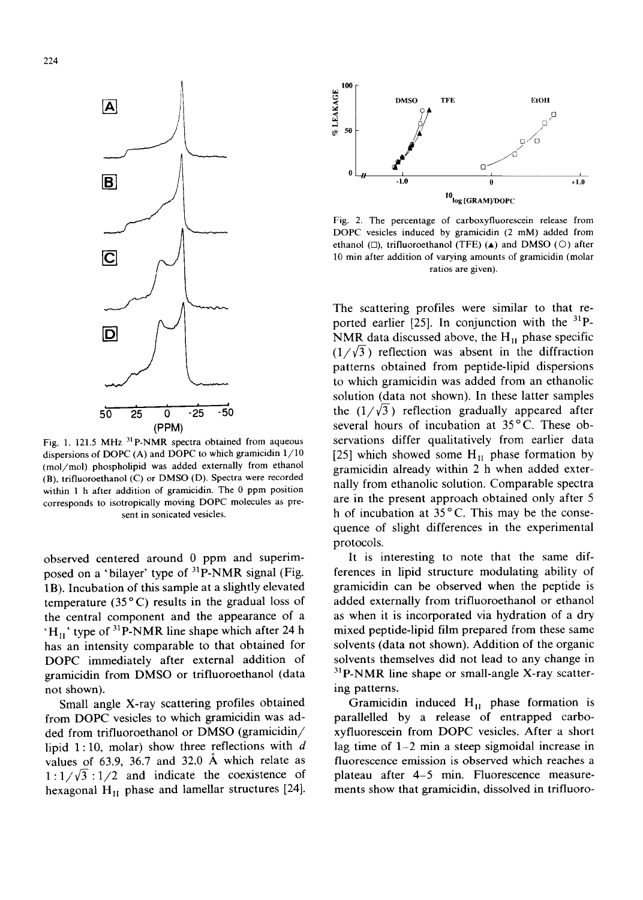

Fig. 1. 121.5 MHz  $^{31}$ P-NMR spectra obtained from aqueous dispersions of DOPC (A) and DOPC to which gramicidin 1/10 (mol/mol) phospholipid was added externally from ethanol (B), trifluoroethanol (C) or DMSO (D). Spectra were recorded within 1 h after addition of gramicidin. The 0 ppm position corresponds to isotropically moving DOPC molecules as present in sonicated vesicles.

observed centered around 0 ppm and superimposed on a 'bilayer' type of <sup>31</sup>P-NMR signal (Fig. 1B). Incubation of this sample at a slightly elevated temperature (35 $^{\circ}$ C) results in the gradual loss of the central component and the appearance of a  $H_{II}$ ' type of <sup>31</sup>P-NMR line shape which after 24 h has an intensity comparable to that obtained for DOPC immediately after external addition of gramicidin from DMSO or trifluoroethanol (data not shown).

Small angle X-ray scattering profiles obtained from DOPC vesicles to which gramicidin was added from trifluoroethanol or DMSO (gramicidin/ lipid 1:10, molar) show three reflections with  $d$ values of 63.9, 36.7 and 32.0 A which relate as  $1:1/\sqrt{3}:1/2$  and indicate the coexistence of hexagonal  $H_{II}$  phase and lamellar structures [24].



Fig. 2. The percentage of carboxyfluorescein release from DOPC vesicles induced by gramicidin (2 mM) added from ethanol ( $\square$ ), trifluoroethanol (TFE) ( $\blacktriangle$ ) and DMSO ( $\square$ ) after 10 min after addition of varying amounts of gramicidin (molar ratios are given).

The scattering profiles were similar to that reported earlier [25]. In conjunction with the  $^{31}P$ -NMR data discussed above, the  $H<sub>II</sub>$  phase specific  $(1/\sqrt{3})$  reflection was absent in the diffraction patterns obtained from peptide-lipid dispersions to which gramicidin was added from an ethanolic solution (data not shown). In these latter samples the  $(1/\sqrt{3})$  reflection gradually appeared after several hours of incubation at 35°C. These observations differ qualitatively from earlier data [25] which showed some  $H<sub>II</sub>$  phase formation by gramicidin already within 2 h when added externally from ethanolic solution. Comparable spectra are in the present approach obtained only after 5 h of incubation at  $35^{\circ}$ C. This may be the consequence of slight differences in the experimental protocols.

It is interesting to note that the same differences in lipid structure modulating ability of gramicidin can be observed when the peptide is added externally from trifluoroethanol or ethanol as when it is incorporated via hydration of a dry mixed peptide-lipid film prepared from these same solvents (data not shown). Addition of the organic solvents themselves did not lead to any change in  $31P-NMR$  line shape or small-angle X-ray scattering patterns.

Gramicidin induced  $H<sub>H</sub>$  phase formation is parallelled by a release of entrapped carboxyfluorescein from DOPC vesicles. After a short lag time of 1-2 min a steep sigmoidal increase in fluorescence emission is observed which reaches a plateau after 4-5 min. Fluorescence measurements show that gramicidin, dissolved in trifluoro-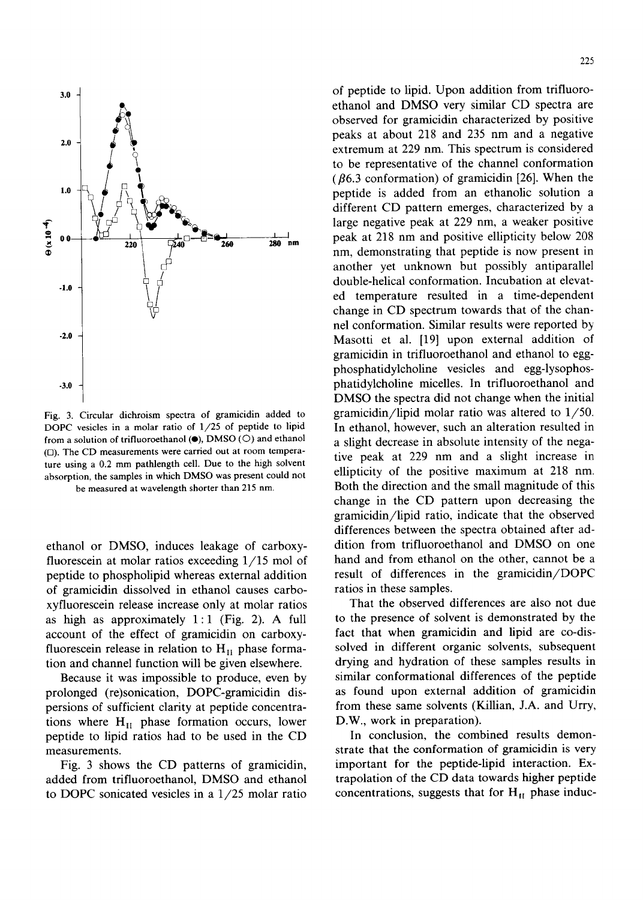

Fig. 3. Circular dichroism spectra of gramicidin added to DOPC vesicles in a molar ratio of 1/25 of peptide to lipid from a solution of trifluoroethanol  $(\bullet)$ , DMSO ( $\circ$ ) and ethanol (D). The CD measurements were carried out at room temperature using a 0.2 mm pathlength cell. Due to the high solvent absorption, the samples in which DMSO was present could not be measured at wavelength shorter than 215 nm.

ethanol or DMSO, induces leakage of carboxyfluorescein at molar ratios exceeding 1/15 mol of peptide to phospholipid whereas external addition of gramicidin dissolved in ethanol causes carboxyfluorescein release increase only at molar ratios as high as approximately  $1:1$  (Fig. 2). A full account of the effect of gramicidin on carboxyfluorescein release in relation to  $H<sub>II</sub>$  phase formation and channel function will be given elsewhere.

Because it was impossible to produce, even by prolonged (re)sonication, DOPC-gramicidin dispersions of sufficient clarity at peptide concentrations where  $H<sub>II</sub>$  phase formation occurs, lower peptide to lipid ratios had to be used in the CD measurements.

Fig. 3 shows the CD patterns of gramicidin, added from trifluoroethanol, DMSO and ethanol to DOPC sonicated vesicles in a 1/25 molar ratio of peptide to lipid. Upon addition from trifluoroethanol and DMSO very similar CD spectra are observed for gramicidin characterized by positive peaks at about 218 and 235 nm and a negative extremum at 229 nm. This spectrum is considered to be representative of the channel conformation ( $\beta$ 6.3 conformation) of gramicidin [26]. When the peptide is added from an ethanolic solution a different CD pattern emerges, characterized by a large negative peak at 229 nm, a weaker positive peak at 218 nm and positive ellipticity below 208 nm, demonstrating that peptide is now present in another yet unknown but possibly antiparallel double-helical conformation. Incubation at elevated temperature resulted in a time-dependent change in CD spectrum towards that of the channel conformation. Similar results were reported by Masotti et al. [19] upon external addition of gramicidin in trifluoroethanol and ethanol to eggphosphatidylcholine vesicles and egg-lysophosphatidylcholine micelles. In trifluoroethanol and DMSO the spectra did not change when the initial gramicidin/lipid molar ratio was altered to 1/50. In ethanol, however, such an alteration resulted in a slight decrease in absolute intensity of the negative peak at 229 nm and a slight increase in ellipticity of the positive maximum at 218 nm. Both the direction and the small magnitude of this change in the CD pattern upon decreasing the gramicidin/lipid ratio, indicate that the observed differences between the spectra obtained after addition from trifluoroethanol and DMSO on one hand and from ethanol on the other, cannot be a result of differences in the gramicidin/DOPC ratios in these samples.

That the observed differences are also not due to the presence of solvent is demonstrated by the fact that when gramicidin and lipid are co-dissolved in different organic solvents, subsequent drying and hydration of these samples results in similar conformational differences of the peptide as found upon external addition of gramicidin from these same solvents (Killian, J.A. and Urry, D.W., work in preparation).

In conclusion, the combined results demonstrate that the conformation of gramicidin is very important for the peptide-lipid interaction. Extrapolation of the CD data towards higher peptide concentrations, suggests that for  $H_H$  phase induc